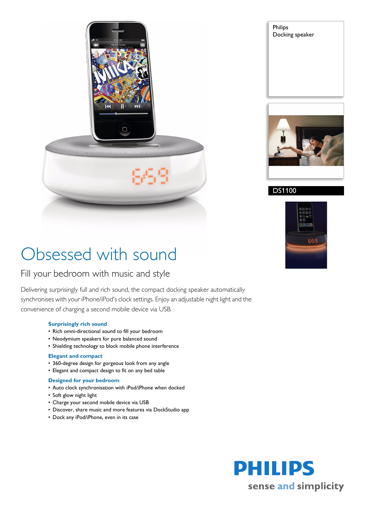

Philips Docking speaker



#### DS1100



# Obsessed with sound

### Fill your bedroom with music and style

Delivering surprisingly full and rich sound, the compact docking speaker automatically synchronises with your iPhone/iPod's clock settings. Enjoy an adjustable night light and the convenience of charging a second mobile device via USB.

#### **Surprisingly rich sound**

- Rich omni-directional sound to fill your bedroom
- Neodymium speakers for pure balanced sound
- Shielding technology to block mobile phone interference

#### **Elegant and compact**

- 360-degree design for gorgeous look from any angle
- Elegant and compact design to fit on any bed table

#### **Designed for your bedroom**

- Auto clock synchronisation with iPod/iPhone when docked
- Soft glow night light
- Charge your second mobile device via USB
- Discover, share music and more features via DockStudio app
- Dock any iPod/iPhone, even in its case